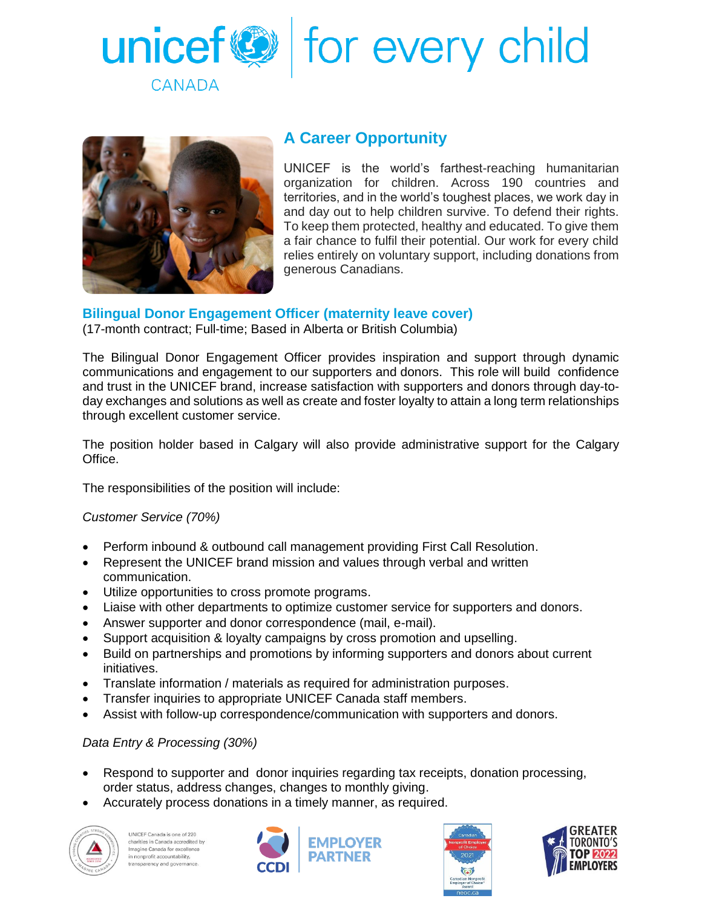



## **A Career Opportunity**

UNICEF is the world's farthest-reaching humanitarian organization for children. Across 190 countries and territories, and in the world's toughest places, we work day in and day out to help children survive. To defend their rights. To keep them protected, healthy and educated. To give them a fair chance to fulfil their potential. Our work for every child relies entirely on voluntary support, including donations from generous Canadians.

### **Bilingual Donor Engagement Officer (maternity leave cover)**

(17-month contract; Full-time; Based in Alberta or British Columbia)

The Bilingual Donor Engagement Officer provides inspiration and support through dynamic communications and engagement to our supporters and donors. This role will build confidence and trust in the UNICEF brand, increase satisfaction with supporters and donors through day-today exchanges and solutions as well as create and foster loyalty to attain a long term relationships through excellent customer service.

The position holder based in Calgary will also provide administrative support for the Calgary Office.

The responsibilities of the position will include:

*Customer Service (70%)* 

- Perform inbound & outbound call management providing First Call Resolution.
- Represent the UNICEF brand mission and values through verbal and written communication.
- Utilize opportunities to cross promote programs.
- Liaise with other departments to optimize customer service for supporters and donors.
- Answer supporter and donor correspondence (mail, e-mail).
- Support acquisition & loyalty campaigns by cross promotion and upselling.
- Build on partnerships and promotions by informing supporters and donors about current initiatives.
- Translate information / materials as required for administration purposes.
- Transfer inquiries to appropriate UNICEF Canada staff members.
- Assist with follow-up correspondence/communication with supporters and donors.

#### *Data Entry & Processing (30%)*

- Respond to supporter and donor inquiries regarding tax receipts, donation processing, order status, address changes, changes to monthly giving.
- Accurately process donations in a timely manner, as required.



UNICEF Canada is one of 220 charities in Canada accredited by Imagine Canada for excellence<br>in nonprofit accountability, transparency and governance.